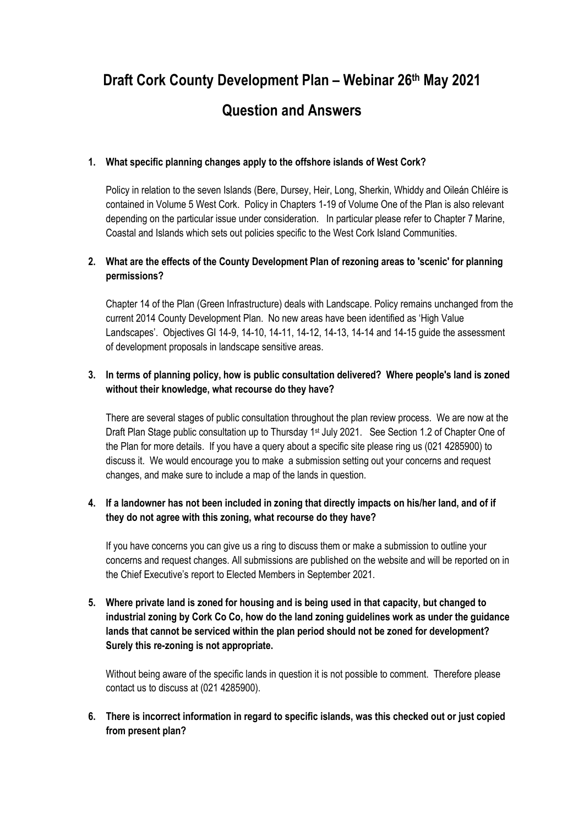# **Draft Cork County Development Plan – Webinar 26th May 2021 Question and Answers**

## **1. What specific planning changes apply to the offshore islands of West Cork?**

Policy in relation to the seven Islands (Bere, Dursey, Heir, Long, Sherkin, Whiddy and Oileán Chléire is contained in Volume 5 West Cork. Policy in Chapters 1-19 of Volume One of the Plan is also relevant depending on the particular issue under consideration. In particular please refer to Chapter 7 Marine, Coastal and Islands which sets out policies specific to the West Cork Island Communities.

## **2. What are the effects of the County Development Plan of rezoning areas to 'scenic' for planning permissions?**

Chapter 14 of the Plan (Green Infrastructure) deals with Landscape. Policy remains unchanged from the current 2014 County Development Plan. No new areas have been identified as 'High Value Landscapes'. Objectives GI 14-9, 14-10, 14-11, 14-12, 14-13, 14-14 and 14-15 guide the assessment of development proposals in landscape sensitive areas.

## **3. In terms of planning policy, how is public consultation delivered? Where people's land is zoned without their knowledge, what recourse do they have?**

There are several stages of public consultation throughout the plan review process. We are now at the Draft Plan Stage public consultation up to Thursday 1<sup>st</sup> July 2021. See Section 1.2 of Chapter One of the Plan for more details. If you have a query about a specific site please ring us (021 4285900) to discuss it. We would encourage you to make a submission setting out your concerns and request changes, and make sure to include a map of the lands in question.

# **4. If a landowner has not been included in zoning that directly impacts on his/her land, and of if they do not agree with this zoning, what recourse do they have?**

If you have concerns you can give us a ring to discuss them or make a submission to outline your concerns and request changes. All submissions are published on the website and will be reported on in the Chief Executive's report to Elected Members in September 2021.

## **5. Where private land is zoned for housing and is being used in that capacity, but changed to industrial zoning by Cork Co Co, how do the land zoning guidelines work as under the guidance lands that cannot be serviced within the plan period should not be zoned for development? Surely this re-zoning is not appropriate.**

Without being aware of the specific lands in question it is not possible to comment. Therefore please contact us to discuss at (021 4285900).

**6. There is incorrect information in regard to specific islands, was this checked out or just copied from present plan?**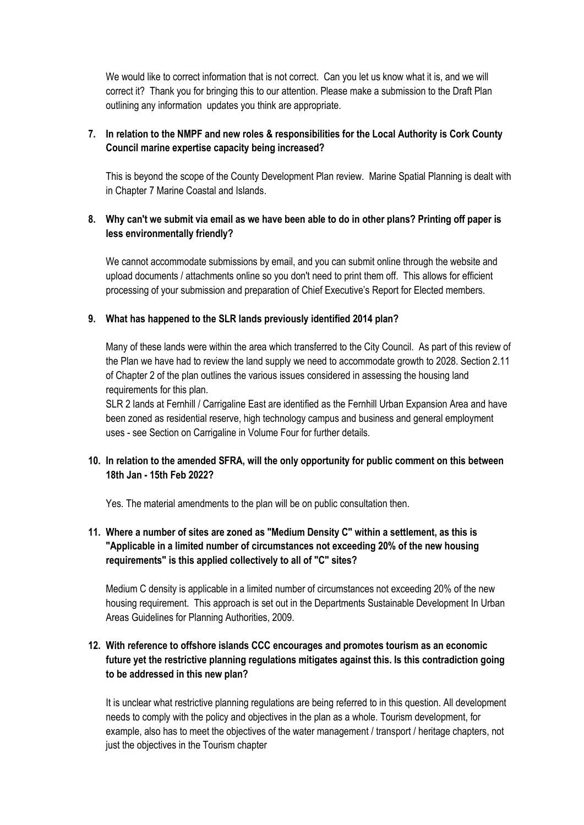We would like to correct information that is not correct. Can you let us know what it is, and we will correct it? Thank you for bringing this to our attention. Please make a submission to the Draft Plan outlining any information updates you think are appropriate.

# **7. In relation to the NMPF and new roles & responsibilities for the Local Authority is Cork County Council marine expertise capacity being increased?**

This is beyond the scope of the County Development Plan review. Marine Spatial Planning is dealt with in Chapter 7 Marine Coastal and Islands.

## **8. Why can't we submit via email as we have been able to do in other plans? Printing off paper is less environmentally friendly?**

We cannot accommodate submissions by email, and you can submit online through the website and upload documents / attachments online so you don't need to print them off. This allows for efficient processing of your submission and preparation of Chief Executive's Report for Elected members.

#### **9. What has happened to the SLR lands previously identified 2014 plan?**

Many of these lands were within the area which transferred to the City Council. As part of this review of the Plan we have had to review the land supply we need to accommodate growth to 2028. Section 2.11 of Chapter 2 of the plan outlines the various issues considered in assessing the housing land requirements for this plan.

SLR 2 lands at Fernhill / Carrigaline East are identified as the Fernhill Urban Expansion Area and have been zoned as residential reserve, high technology campus and business and general employment uses - see Section on Carrigaline in Volume Four for further details.

# **10. In relation to the amended SFRA, will the only opportunity for public comment on this between 18th Jan - 15th Feb 2022?**

Yes. The material amendments to the plan will be on public consultation then.

# **11. Where a number of sites are zoned as "Medium Density C" within a settlement, as this is "Applicable in a limited number of circumstances not exceeding 20% of the new housing requirements" is this applied collectively to all of "C" sites?**

Medium C density is applicable in a limited number of circumstances not exceeding 20% of the new housing requirement. This approach is set out in the Departments Sustainable Development In Urban Areas Guidelines for Planning Authorities, 2009.

# **12. With reference to offshore islands CCC encourages and promotes tourism as an economic future yet the restrictive planning regulations mitigates against this. Is this contradiction going to be addressed in this new plan?**

It is unclear what restrictive planning regulations are being referred to in this question. All development needs to comply with the policy and objectives in the plan as a whole. Tourism development, for example, also has to meet the objectives of the water management / transport / heritage chapters, not just the objectives in the Tourism chapter